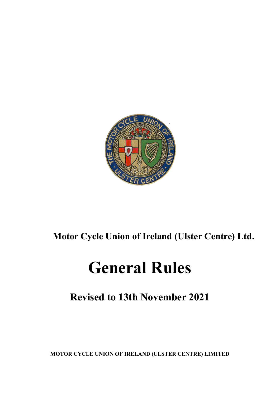

## **Motor Cycle Union of Ireland (Ulster Centre) Ltd.**

# **General Rules**

## **Revised to 13th November 2021**

**MOTOR CYCLE UNION OF IRELAND (ULSTER CENTRE) LIMITED**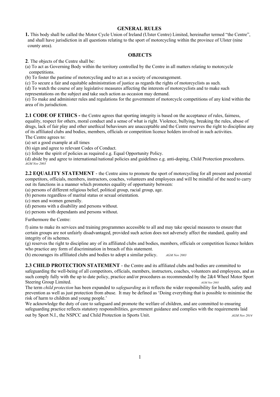#### **GENERAL RULES**

**1.** This body shall be called the Motor Cycle Union of Ireland (Ulster Centre) Limited, hereinafter termed "the Centre", and shall have jurisdiction in all questions relating to the sport of motorcycling within the province of Ulster (nine county area).

#### **OBJECTS**

**2**. The objects of the Centre shall be:

(a) To act as Governing Body within the territory controlled by the Centre in all matters relating to motorcycle competitions.

(b) To foster the pastime of motorcycling and to act as a society of encouragement.

(c) To secure a fair and equitable administration of justice as regards the rights of motorcyclists as such.

(d) To watch the course of any legislative measures affecting the interests of motorcyclists and to make such

representations on the subject and take such action as occasion may demand.

(e) To make and administer rules and regulations for the government of motorcycle competitions of any kind within the area of its jurisdiction.

**2.1 CODE OF ETHICS -** the Centre agrees that sporting integrity is based on the acceptance of rules, fairness,

equality, respect for others, moral conduct and a sense of what is right. Violence, bullying, breaking the rules, abuse of drugs, lack of fair play and other unethical behaviours are unacceptable and the Centre reserves the right to discipline any of its affiliated clubs and bodies, members, officials or competition licence holders involved in such activities. The Centre agrees to:

(a) set a good example at all times

(b) sign and agree to relevant Codes of Conduct.

(c) follow the spirit of policies as required e.g. Equal Opportunity Policy.

(d) abide by and agree to international/national policies and guidelines e.g. anti-doping, Child Protection procedures. *AGM Nov 2003*

**2.2 EQUALITY STATEMENT** - the Centre aims to promote the sport of motorcycling for all present and potential competitors, officials, members, instructors, coaches, volunteers and employees and will be mindful of the need to carry out its functions in a manner which promotes equality of opportunity between:

- (a) persons of different religious belief, political group, racial group, age.
- (b) persons regardless of marital status or sexual orientation.
- (c) men and women generally.
- (d) persons with a disability and persons without.
- (e) persons with dependants and persons without.

Furthermore the Centre:

f) aims to make its services and training programmes accessible to all and may take special measures to ensure that certain groups are not unfairly disadvantaged, provided such action does not adversely affect the standard, quality and integrity of its schemes.

(g) reserves the right to discipline any of its affiliated clubs and bodies, members, officials or competition licence holders who practice any form of discrimination in breach of this statement.

(h) encourages its affiliated clubs and bodies to adopt a similar policy. *AGM Nov 2003*

**2.3 CHILD PROTECTION STATEMENT** - the Centre and its affiliated clubs and bodies are committed to safeguarding the well-being of all competitors, officials, members, instructors, coaches, volunteers and employees, and as such comply fully with the up to date policy, practice and/or procedures as recommended by the 2&4 Wheel Motor Sport Steering Group Limited. **AGM Nov 2003 AGM Nov 2003** 

The term *child protection* has been expanded to *safeguarding* as it reflects the wider responsibility for health, safety and prevention as well as just protection from abuse. It may be defined as 'Doing everything that is possible to minimise the risk of harm to children and young people.'

We acknowledge the duty of care to safeguard and promote the welfare of children, and are committed to ensuring safeguarding practice reflects statutory responsibilities, government guidance and complies with the requirements laid out by Sport N.I., the NSPCC and Child Protection in Sports Unit. *AGM Nov 2014*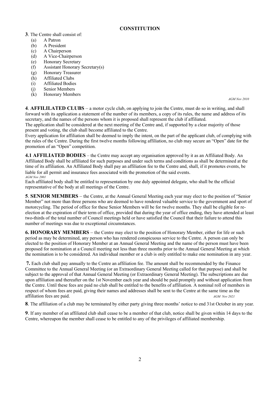#### **CONSTITUTION**

#### **3**. The Centre shall consist of:

- (a) A Patron
- (b) A President
- (c) A Chairperson
- (d) A Vice-Chairperson
- (e) Honorary Secretary
- (f) Assistant Honorary Secretary(s)
- (g) Honorary Treasurer
- (h) Affiliated Clubs
- (i) Affiliated Bodies
- (j) Senior Members
- (k) Honorary Members

*AGM Nov 2010*

**4**. **AFFILILATED CLUBS** – a motor cycle club, on applying to join the Centre, must do so in writing, and shall forward with its application a statement of the number of its members, a copy of its rules, the name and address of its secretary, and the names of the persons whom it is proposed shall represent the club if affiliated.

The application shall be considered at the next meeting of the Centre and, if supported by a clear majority of those present and voting, the club shall become affiliated to the Centre.

Every application for affiliation shall be deemed to imply the intent, on the part of the applicant club, of complying with the rules of the Centre. During the first twelve months following affiliation, no club may secure an "Open" date for the promotion of an "Open" competition.

**4.1 AFFILIATED BODIES** – the Centre may accept any organisation approved by it as an Affiliated Body. An Affiliated Body shall be affiliated for such purposes and under such terms and conditions as shall be determined at the time of its affiliation. An Affiliated Body shall pay an affiliation fee to the Centre and, shall, if it promotes events, be liable for all permit and insurance fees associated with the promotion of the said events.  $AGM Nov 2001$ 

*AGM Nov 2001* Each affiliated body shall be entitled to representation by one duly appointed delegate, who shall be the official representative of the body at all meetings of the Centre.

**5**. **SENIOR MEMBERS** – the Centre, at the Annual General Meeting each year may elect to the position of "Senior Member" not more than three persons who are deemed to have rendered valuable service to the government and sport of motorcycling. The period of office for these Senior Members will be for twelve months. They shall be eligible for reelection at the expiration of their term of office, provided that during the year of office ending, they have attended at least two-thirds of the total number of Council meetings held or have satisfied the Council that their failure to attend this number of meetings was due to exceptional circumstances.

**6. HONORARY MEMBERS** – the Centre may elect to the position of Honorary Member, either for life or such period as may be determined, any person who has rendered conspicuous service to the Centre. A person can only be elected to the position of Honorary Member at an Annual General Meeting and the name of the person must have been proposed for nomination at a Council meeting not less than three months prior to the Annual General Meeting at which the nomination is to be considered. An individual member or a club is only entitled to make one nomination in any year.

**7.** Each club shall pay annually to the Centre an affiliation fee. The amount shall be recommended by the Finance Committee to the Annual General Meeting (or an Extraordinary General Meeting called for that purpose) and shall be subject to the approval of that Annual General Meeting (or Extraordinary General Meeting). The subscriptions are due upon affiliation and thereafter on the 1st November each year and should be paid promptly and without application from the Centre. Until these fees are paid no club shall be entitled to the benefits of affiliation. A nominal roll of members in respect of whom fees are paid, giving their names and addresses shall be sent to the Centre at the same time as the affiliation fees are paid. *AGM Nov 2021*

**8**. The affiliation of a club may be terminated by either party giving three months' notice to end 31st October in any year.

**9**. If any member of an affiliated club shall cease to be a member of that club, notice shall be given within 14 days to the Centre, whereupon the member shall cease to be entitled to any of the privileges of affiliated membership.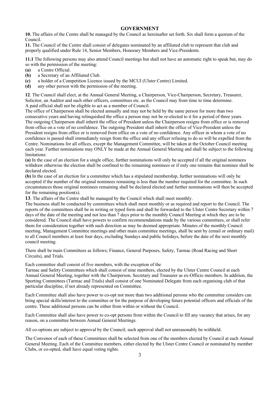#### **GOVERNMENT**

**10.** The affairs of the Centre shall be managed by the Council as hereinafter set forth. Six shall form a quorum of the Council.

**11.** The Council of the Centre shall consist of delegates nominated by an affiliated club to represent that club and properly qualified under Rule 14, Senior Members, Honorary Members and Vice-Presidents.

**11.1** The following persons may also attend Council meetings but shall not have an automatic right to speak but, may do so with the permission of the meeting:

- **(a)** a Centre Official.
- **(b)** a Secretary of an Affiliated Club.
- **(c)** a holder of a Competition Licence issued by the MCUI (Ulster Centre) Limited.
- **(d)** any other person with the permission of the meeting.

**12**. The Council shall elect, at the Annual General Meeting, a Chairperson, Vice-Chairperson, Secretary, Treasurer, Solicitor, an Auditor and such other officers, committees etc. as the Council may from time to time determine. A paid official shall not be eligible to act as a member of Council.

The office of Chairperson shall be elected annually and may not be held by the same person for more than two consecutive years and having relinquished the office a person may not be re-elected to it for a period of three years. The outgoing Chairperson shall inherit the office of President unless the Chairperson resigns from office or is removed from office on a vote of no confidence. The outgoing President shall inherit the office of Vice-President unless the President resigns from office or is removed from office on a vote of no confidence. Any officer in whom a vote of no confidence is passed shall immediately resign from the office and any officer refusing to do so will be expelled from the Centre. Nominations for all offices, except the Management Committee, will be taken at the October Council meeting each year. Further nominations may ONLY be made at the Annual General Meeting and shall be subject to the following limitations:

**(a)** In the case of an election for a single office, further nominations will only be accepted if all the original nominees withdraw otherwise the election shall be confined to the remaining nominees or if only one remains that nominee shall be declared elected.

**(b)** In the case of an election for a committee which has a stipulated membership, further nominations will only be accepted if the number of the original nominees remaining is less than the number required for the committee. In such circumstances those original nominees remaining shall be declared elected and further nominations will then be accepted for the remaining position(s).

**13**. The affairs of the Centre shall be managed by the Council which shall meet monthly.

The business shall be conducted by committees which shall meet monthly or as required and report to the Council. The reports of the committees shall be in writing or typed form and shall be forwarded to the Ulster Centre Secretary within 7 days of the date of the meeting and not less than 7 days prior to the monthly Council Meeting at which they are to be considered. The Council shall have powers to confirm recommendations made by the various committees, or shall refer them for consideration together with such direction as may be deemed appropriate. Minutes of the monthly Council meeting, Management Committee meetings and other main committee meetings, shall be sent by (email or ordinary mail) to all Council members at least four days, excluding Sundays and public holidays, before the date of the next monthly council meeting.

There shall be main Committees as follows; Finance, General Purposes, Safety, Tarmac (Road Racing and Short Circuits), and Trials.

Each committee shall consist of five members, with the exception of the

Tarmac and Safety Committees which shall consist of nine members, elected by the Ulster Centre Council at each Annual General Meeting, together with the Chairperson, Secretary and Treasurer as ex-Officio members. In addition, the Sporting Committees (Tarmac and Trials) shall consist of one Nominated Delegate from each organising club of that particular discipline, if not already represented on Committee.

Each Committee shall also have power to co-opt not more than two additional persons who the committee considers can bring special skills/interest to the committee or for the purpose of developing future potential officers and officials of the centre. These additional persons can be either from within or without the Council.

Each Committee shall also have power to co-opt persons from within the Council to fill any vacancy that arises, for any reason, on a committee between Annual General Meetings.

All co-options are subject to approval by the Council; such approval shall not unreasonably be withheld.

The Convenor of each of these Committees shall be selected from one of the members elected by Council at each Annual General Meeting. Each of the Committee members, either elected by the Ulster Centre Council or nominated by member Clubs, or co-opted, shall have equal voting rights.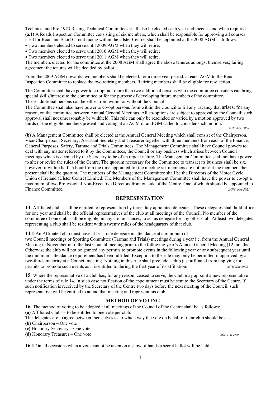Technical and Pre-1973 Racing Technical Committees shall also be elected each year and meet as and when required. **(a.1)** A Roads Inspection Committee consisting of six members, which shall be responsible for approving all courses used for Road and Short Circuit racing within the Ulster Centre, shall be appointed at the 2008 AGM as follows:

• Two members elected to serve until 2009 AGM when they will retire;

• Two members elected to serve until 2010 AGM when they will retire;

• Two members elected to serve until 2011 AGM when they will retire.

The members elected for the committee at the 2008 AGM shall agree the above tenures amongst themselves; failing agreement the tenures will be decided by ballot.

From the 2009 AGM onwards two members shall be elected, for a three year period, at each AGM to the Roads Inspection Committee to replace the two retiring members. Retiring members shall be eligible for re-election.

The Committee shall have power to co-opt not more than two additional persons who the committee considers can bring special skills/interest to the committee or for the purpose of developing future members of the committee. These additional persons can be either from within or without the Council.

The Committee shall also have power to co-opt persons from within the Council to fill any vacancy that arises, for any reason, on the committee between Annual General Meetings. All co-options are subject to approval by the Council; such approval shall not unreasonably be withheld. This rule can only be rescinded or varied by a motion approved by two thirds of the eligible members present and voting at an AGM or an EGM called to consider such motion.

*AGM Nov 2008*

**(b)** A Management Committee shall be elected at the Annual General Meeting which shall consist of the Chairperson, Vice-Chairperson, Secretary, Assistant Secretary and Treasurer together with three members from each of the Finance, General Purposes, Safety, Tarmac and Trials Committees. The Management Committee shall have Council powers to deal with any matter referred to it by the Committees, the Council or any business which arises between Council meetings which is deemed by the Secretary to be of an urgent nature. The Management Committee shall not have power to alter or revise the rules of the Centre. The quorum necessary for the Committee to transact its business shall be six, however, if within half an hour from the time appointed for the meeting six members are not present the members then present shall be the quorum. The members of the Management Committee shall be the Directors of the Motor Cycle Union of Ireland (Ulster Centre) Limited. The Members of the Management Committee shall have the power to co-opt a maximum of two Professional Non-Executive Directors from outside of the Centre. One of which should be appointed to Finance Committee. *AGM Nov 2021*

#### **REPRESENTATION**

**14.** Affiliated clubs shall be entitled to representation by three duly appointed delegates. These delegates shall hold office for one year and shall be the official representatives of the club at all meetings of the Council. No member of the committee of one club shall be eligible, in any circumstances, to act as delegate for any other club. At least two delegates representing a club shall be resident within twenty miles of the headquarters of that club.

**14.1** An Affiliated club must have at least one delegate in attendance at a minimum of

two Council meetings or Sporting Committee (Tarmac and Trials) meetings during a year i.e. from the Annual General Meeting in November until the last Council meeting prior to the following year's Annual General Meeting (12 months). Otherwise the club will not be granted any permits to promote events in the following year or any subsequent year until the minimum attendance requirement has been fulfilled. Exception to the rule may only be permitted if approved by a two-thirds majority at a Council meeting. Nothing in this rule shall preclude a club just affiliated from applying for permits to promote such events as it is entitled to during the first year of its affiliation. *AGM Nov 2008*

**15**. Where the representative of a club has, for any reason, ceased to serve, the Club may appoint a new representative under the terms of rule 14. In such case notification of the appointment must be sent to the Secretary of the Centre. If such notification is received by the Secretary of the Centre two days before the next meeting of the Council, such representative will be entitled to attend that meeting and represent his club.

#### **METHOD OF VOTING**

**16.** The method of voting to be adopted at all meetings of the Council of the Centre shall be as follows: **(a)** Affiliated Clubs – to be entitled to one vote per club.

The delegates are to agree between themselves as to which way the vote on behalf of their club should be cast.

**(b)** Chairperson – One vote

**(c)** Honorary Secretary – One vote

**(d)** Honorary Treasurer – One vote *EGM May 1999*

**16.1** On all occasions when a vote cannot be taken on a show of hands a secret ballot will be held.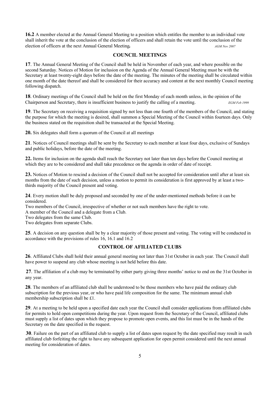**16.2** A member elected at the Annual General Meeting to a position which entitles the member to an individual vote shall inherit the vote at the conclusion of the election of officers and shall retain the vote until the conclusion of the election of officers at the next Annual General Meeting*. AGM Nov 2007*

#### **COUNCIL MEETINGS**

**17**. The Annual General Meeting of the Council shall be held in November of each year, and where possible on the second Saturday. Notices of Motion for inclusion on the Agenda of the Annual General Meeting must be with the Secretary at least twenty-eight days before the date of the meeting. The minutes of the meeting shall be circulated within one month of the date thereof and shall be considered for their accuracy and content at the next monthly Council meeting following dispatch.

**18**. Ordinary meetings of the Council shall be held on the first Monday of each month unless, in the opinion of the Chairperson and Secretary, there is insufficient business to justify the calling of a meeting. *EGM Feb 1999*

**19**. The Secretary on receiving a requisition signed by not less than one fourth of the members of the Council, and stating the purpose for which the meeting is desired, shall summon a Special Meeting of the Council within fourteen days. Only the business stated on the requisition shall be transacted at the Special Meeting.

**20.** Six delegates shall form a quorum of the Council at all meetings

**21**. Notices of Council meetings shall be sent by the Secretary to each member at least four days, exclusive of Sundays and public holidays, before the date of the meeting.

**22.** Items for inclusion on the agenda shall reach the Secretary not later than ten days before the Council meeting at which they are to be considered and shall take precedence on the agenda in order of date of receipt.

**23.** Notices of Motion to rescind a decision of the Council shall not be accepted for consideration until after at least six months from the date of such decision, unless a motion to permit its consideration is first approved by at least a twothirds majority of the Council present and voting.

**24**. Every motion shall be duly proposed and seconded by one of the under-mentioned methods before it can be considered.

Two members of the Council, irrespective of whether or not such members have the right to vote.

A member of the Council and a delegate from a Club.

Two delegates from the same Club.

Two delegates from separate Clubs.

**25**. A decision on any question shall be by a clear majority of those present and voting. The voting will be conducted in accordance with the provisions of rules 16, 16.1 and 16.2

### **CONTROL OF AFILIATED CLUBS**

**26**. Affiliated Clubs shall hold their annual general meeting not later than 31st October in each year. The Council shall have power to suspend any club whose meeting is not held before this date.

**27**. The affiliation of a club may be terminated by either party giving three months' notice to end on the 31st October in any year.

**28**. The members of an affiliated club shall be understood to be those members who have paid the ordinary club subscription for the previous year, or who have paid life composition for the same. The minimum annual club membership subscription shall be £1.

**29**. At a meeting to be held upon a specified date each year the Council shall consider applications from affiliated clubs for permits to hold open competitions during the year. Upon request from the Secretary of the Council, affiliated clubs must supply a list of dates upon which they propose to promote open events, and this list must be in the hands of the Secretary on the date specified in the request.

**30**. Failure on the part of an affiliated club to supply a list of dates upon request by the date specified may result in such affiliated club forfeiting the right to have any subsequent application for open permit considered until the next annual meeting for consideration of dates.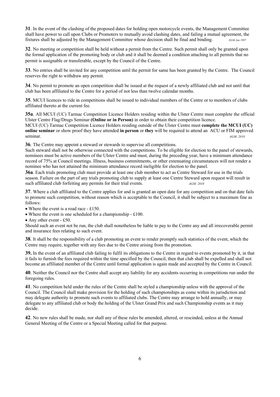**31**. In the event of the clashing of the proposed dates for holding open motorcycle events, the Management Committee shall have power to call upon Clubs or Promoters to mutually avoid clashing dates, and failing a mutual agreement, the fixtures shall be adjusted by the Management Committee whose decision shall be final and binding. *EGM Jan 1997* 

**32**. No meeting or competition shall be held without a permit from the Centre. Such permit shall only be granted upon the formal application of the promoting body or club and it shall be deemed a condition attaching to all permits that no permit is assignable or transferable, except by the Council of the Centre.

**33**. No entries shall be invited for any competition until the permit for same has been granted by the Centre. The Council reserves the right to withdraw any permit.

**34**. No permit to promote an open competition shall be issued at the request of a newly affiliated club and not until that club has been affiliated to the Centre for a period of not less than twelve calendar months.

**35**. MCUI licences to ride in competitions shall be issued to individual members of the Centre or to members of clubs affiliated thereto at the current fee.

**35a**. All MCUI (UC) Tarmac Competition Licence Holders residing within the Ulster Centre must complete the official Ulster Centre Flag/Drugs Seminar **(Online or in Person)** in order to obtain their competition licence.

MCUI (UC) Tarmac Competition Licence Holders residing outside of the Ulster Centre must **complete the MCUI (UC) online seminar** or show proof they have attended **in person** or **they** will be required to attend an ACU or FIM approved seminar. *AGM 2018* 

**36**. The Centre may appoint a steward or stewards to supervise all competitions.

Such steward shall not be otherwise connected with the competitions. To be eligible for election to the panel of stewards, nominees must be active members of the Ulster Centre and must, during the preceding year, have a minimum attendance record of 75% at Council meetings. Illness, business commitments, or other extenuating circumstances will not render a nominee who has not attained the minimum attendance record ineligible for election to the panel.

**36a**. Each trials promoting club must provide at least one club member to act as Centre Steward for use in the trials season. Failure on the part of any trials promoting club to supply at least one Centre Steward upon request will result in such affiliated club forfeiting any permits for their trial events. *AGM 2018* 

**37**. Where a club affiliated to the Centre applies for and is granted an open date for any competition and on that date fails to promote such competition, without reason which is acceptable to the Council, it shall be subject to a maximum fine as follows:

• Where the event is a road race - £150.

• Where the event is one scheduled for a championship - £100.

• Any other event - £50.

Should such an event not be run, the club shall nonetheless be liable to pay to the Centre any and all irrecoverable permit and insurance fees relating to such event.

**38**. It shall be the responsibility of a club promoting an event to render promptly such statistics of the event, which the Centre may require, together with any fees due to the Centre arising from the promotion.

**39.** In the event of an affiliated club failing to fulfil its obligations to the Centre in regard to events promoted by it, in that it fails to furnish the fees required within the time specified by the Council, then that club shall be expelled and shall not become an affiliated member of the Centre until formal application is again made and accepted by the Centre in Council.

**40**. Neither the Council nor the Centre shall accept any liability for any accidents occurring in competitions run under the foregoing rules.

**41**. No competition held under the rules of the Centre shall be styled a championship unless with the approval of the Council. The Council shall make provision for the holding of such championships as come within its jurisdiction and may delegate authority to promote such events to affiliated clubs. The Centre may arrange to hold annually, or may delegate to any affiliated club or body the holding of the Ulster Grand Prix and such Championship events as it may decide.

**42**. No new rules shall be made, nor shall any of these rules be amended, altered, or rescinded, unless at the Annual General Meeting of the Centre or a Special Meeting called for that purpose.